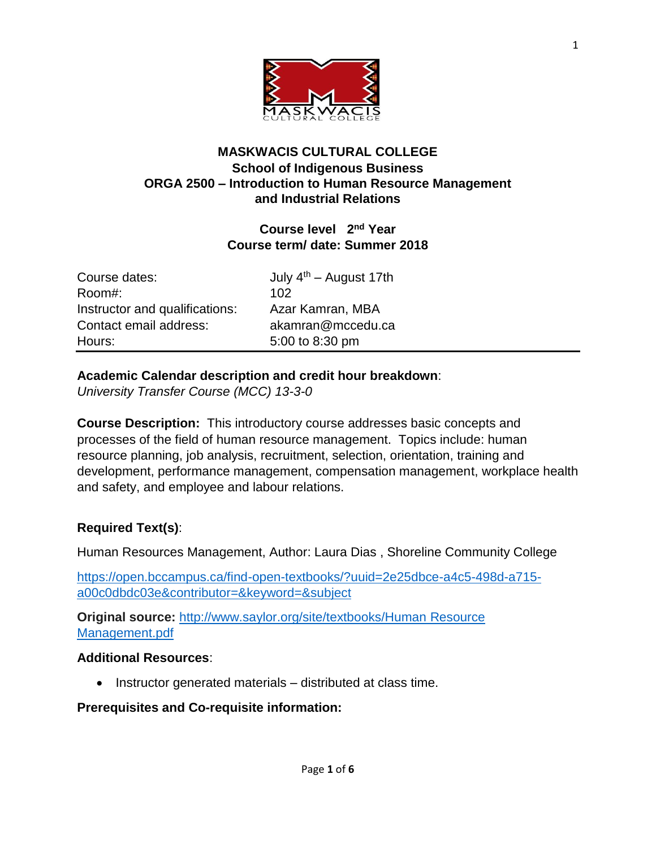

#### **MASKWACIS CULTURAL COLLEGE School of Indigenous Business ORGA 2500 – Introduction to Human Resource Management and Industrial Relations**

# **Course level 2 nd Year Course term/ date: Summer 2018**

| Course dates:                  | July |
|--------------------------------|------|
| Room#:                         | 102  |
| Instructor and qualifications: | Aza  |
| Contact email address:         | aka  |
| Hours:                         | 5:00 |

July  $4<sup>th</sup>$  – August 17th Azar Kamran, MBA akamran@mccedu.ca 5:00 to 8:30 pm

### **Academic Calendar description and credit hour breakdown**:

*University Transfer Course (MCC) 13-3-0*

**Course Description:** This introductory course addresses basic concepts and processes of the field of human resource management. Topics include: human resource planning, job analysis, recruitment, selection, orientation, training and development, performance management, compensation management, workplace health and safety, and employee and labour relations.

# **Required Text(s)**:

Human Resources Management, Author: Laura Dias , Shoreline Community College

[https://open.bccampus.ca/find-open-textbooks/?uuid=2e25dbce-a4c5-498d-a715](https://open.bccampus.ca/find-open-textbooks/?uuid=2e25dbce-a4c5-498d-a715-a00c0dbdc03e&contributor=&keyword=&subject) [a00c0dbdc03e&contributor=&keyword=&subject](https://open.bccampus.ca/find-open-textbooks/?uuid=2e25dbce-a4c5-498d-a715-a00c0dbdc03e&contributor=&keyword=&subject)

**Original source:** [http://www.saylor.org/site/textbooks/Human](http://www.saylor.org/site/textbooks/Human%20Resource%20Management.pdf) Resource [Management.pdf](http://www.saylor.org/site/textbooks/Human%20Resource%20Management.pdf)

#### **Additional Resources**:

• Instructor generated materials – distributed at class time.

#### **Prerequisites and Co-requisite information:**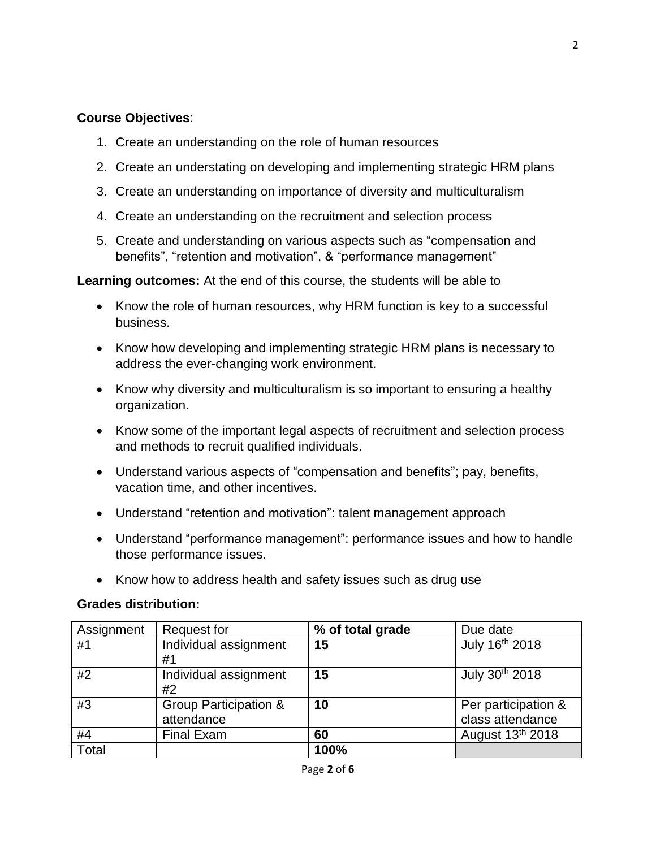### **Course Objectives**:

- 1. Create an understanding on the role of human resources
- 2. Create an understating on developing and implementing strategic HRM plans
- 3. Create an understanding on importance of diversity and multiculturalism
- 4. Create an understanding on the recruitment and selection process
- 5. Create and understanding on various aspects such as "compensation and benefits", "retention and motivation", & "performance management"

**Learning outcomes:** At the end of this course, the students will be able to

- Know the role of human resources, why HRM function is key to a successful business.
- Know how developing and implementing strategic HRM plans is necessary to address the ever-changing work environment.
- Know why diversity and multiculturalism is so important to ensuring a healthy organization.
- Know some of the important legal aspects of recruitment and selection process and methods to recruit qualified individuals.
- Understand various aspects of "compensation and benefits"; pay, benefits, vacation time, and other incentives.
- Understand "retention and motivation": talent management approach
- Understand "performance management": performance issues and how to handle those performance issues.
- Know how to address health and safety issues such as drug use

#### **Grades distribution:**

| Assignment | <b>Request for</b>               | % of total grade | Due date            |
|------------|----------------------------------|------------------|---------------------|
| #1         | Individual assignment            | 15               | July 16th 2018      |
|            | #1                               |                  |                     |
| #2         | Individual assignment            | 15               | July 30th 2018      |
|            | #2                               |                  |                     |
| #3         | <b>Group Participation &amp;</b> | 10               | Per participation & |
|            | attendance                       |                  | class attendance    |
| #4         | <b>Final Exam</b>                | 60               | August 13th 2018    |
| Total      |                                  | 100%             |                     |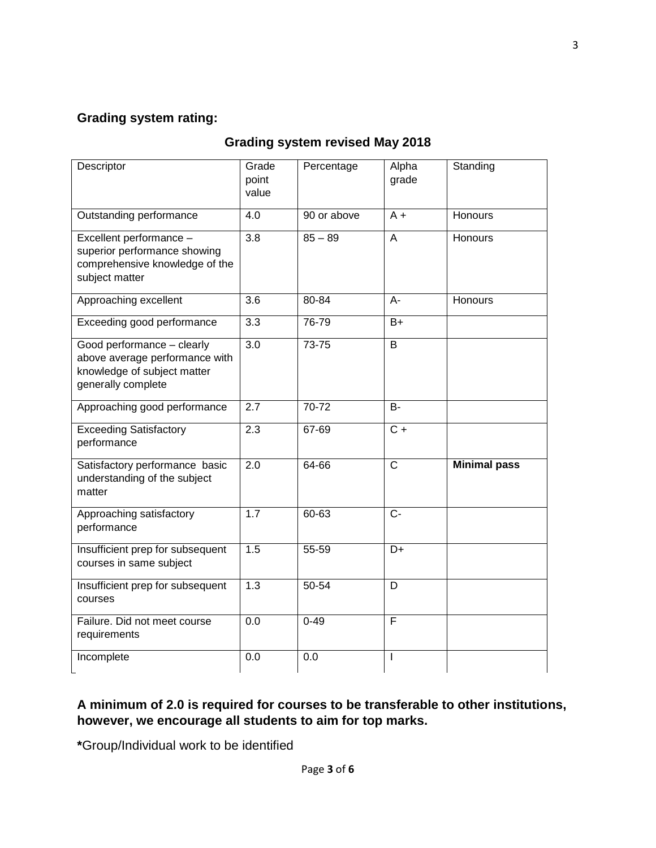# **Grading system rating:**

#### **Grading system revised May 2018**

| Descriptor                                                                                                        | Grade<br>point<br>value | Percentage  | Alpha<br>grade | Standing            |
|-------------------------------------------------------------------------------------------------------------------|-------------------------|-------------|----------------|---------------------|
| Outstanding performance                                                                                           | 4.0                     | 90 or above | $A +$          | Honours             |
| Excellent performance -<br>superior performance showing<br>comprehensive knowledge of the<br>subject matter       | $\overline{3.8}$        | $85 - 89$   | $\overline{A}$ | Honours             |
| Approaching excellent                                                                                             | 3.6                     | 80-84       | $A -$          | <b>Honours</b>      |
| Exceeding good performance                                                                                        | 3.3                     | 76-79       | B+             |                     |
| Good performance - clearly<br>above average performance with<br>knowledge of subject matter<br>generally complete | 3.0                     | 73-75       | B              |                     |
| Approaching good performance                                                                                      | 2.7                     | 70-72       | B-             |                     |
| <b>Exceeding Satisfactory</b><br>performance                                                                      | 2.3                     | 67-69       | $C +$          |                     |
| Satisfactory performance basic<br>understanding of the subject<br>matter                                          | 2.0                     | 64-66       | $\mathsf{C}$   | <b>Minimal pass</b> |
| Approaching satisfactory<br>performance                                                                           | $\overline{1.7}$        | $60 - 63$   | $C -$          |                     |
| Insufficient prep for subsequent<br>courses in same subject                                                       | 1.5                     | $55 - 59$   | D+             |                     |
| Insufficient prep for subsequent<br>courses                                                                       | 1.3                     | 50-54       | D              |                     |
| Failure. Did not meet course<br>requirements                                                                      | 0.0                     | $0 - 49$    | F              |                     |
| Incomplete                                                                                                        | 0.0                     | 0.0         | $\mathbf{I}$   |                     |

### **A minimum of 2.0 is required for courses to be transferable to other institutions, however, we encourage all students to aim for top marks.**

**\***Group/Individual work to be identified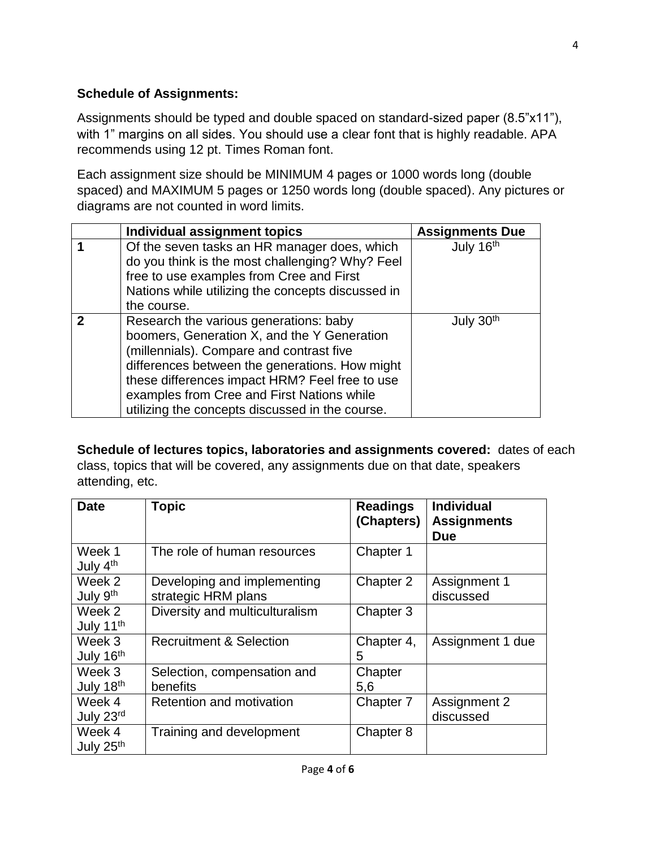### **Schedule of Assignments:**

Assignments should be typed and double spaced on standard-sized paper (8.5"x11"), with 1" margins on all sides. You should use a clear font that is highly readable. APA recommends using 12 pt. Times Roman font.

Each assignment size should be MINIMUM 4 pages or 1000 words long (double spaced) and MAXIMUM 5 pages or 1250 words long (double spaced). Any pictures or diagrams are not counted in word limits.

|   | Individual assignment topics                                                                                                                                                                                                                                                                                                           | <b>Assignments Due</b> |
|---|----------------------------------------------------------------------------------------------------------------------------------------------------------------------------------------------------------------------------------------------------------------------------------------------------------------------------------------|------------------------|
|   | Of the seven tasks an HR manager does, which<br>do you think is the most challenging? Why? Feel<br>free to use examples from Cree and First<br>Nations while utilizing the concepts discussed in<br>the course.                                                                                                                        | July 16th              |
| 2 | Research the various generations: baby<br>boomers, Generation X, and the Y Generation<br>(millennials). Compare and contrast five<br>differences between the generations. How might<br>these differences impact HRM? Feel free to use<br>examples from Cree and First Nations while<br>utilizing the concepts discussed in the course. | July 30 <sup>th</sup>  |

**Schedule of lectures topics, laboratories and assignments covered:** dates of each class, topics that will be covered, any assignments due on that date, speakers attending, etc.

| <b>Date</b>                     | <b>Topic</b>                                       | <b>Readings</b><br>(Chapters) | <b>Individual</b><br><b>Assignments</b><br><b>Due</b> |
|---------------------------------|----------------------------------------------------|-------------------------------|-------------------------------------------------------|
| Week 1<br>July 4 <sup>th</sup>  | The role of human resources                        | Chapter 1                     |                                                       |
| Week 2<br>July 9 <sup>th</sup>  | Developing and implementing<br>strategic HRM plans | Chapter 2                     | Assignment 1<br>discussed                             |
| Week 2<br>July 11 <sup>th</sup> | Diversity and multiculturalism                     | Chapter 3                     |                                                       |
| Week 3<br>July 16th             | <b>Recruitment &amp; Selection</b>                 | Chapter 4,<br>5               | Assignment 1 due                                      |
| Week 3<br>July 18th             | Selection, compensation and<br>benefits            | Chapter<br>5,6                |                                                       |
| Week 4<br>July 23rd             | Retention and motivation                           | Chapter 7                     | Assignment 2<br>discussed                             |
| Week 4<br>July 25 <sup>th</sup> | Training and development                           | Chapter 8                     |                                                       |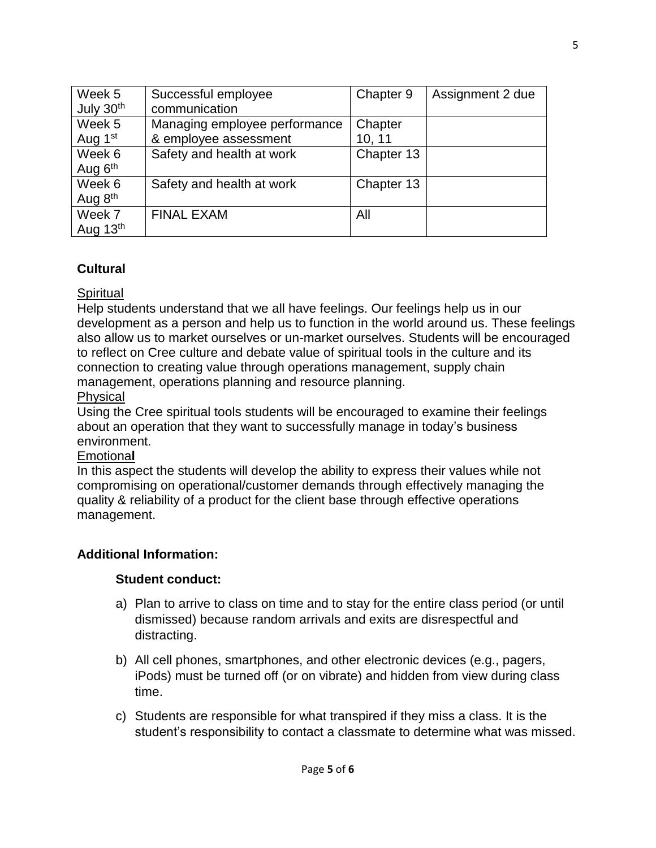| Week 5                | Successful employee           | Chapter 9  | Assignment 2 due |
|-----------------------|-------------------------------|------------|------------------|
| July 30 <sup>th</sup> | communication                 |            |                  |
| Week 5                | Managing employee performance | Chapter    |                  |
| Aug 1 <sup>st</sup>   | & employee assessment         | 10, 11     |                  |
| Week 6                | Safety and health at work     | Chapter 13 |                  |
| Aug $6th$             |                               |            |                  |
| Week 6                | Safety and health at work     | Chapter 13 |                  |
| Aug $8th$             |                               |            |                  |
| Week 7                | <b>FINAL EXAM</b>             | All        |                  |
| Aug $13th$            |                               |            |                  |

# **Cultural**

### **Spiritual**

Help students understand that we all have feelings. Our feelings help us in our development as a person and help us to function in the world around us. These feelings also allow us to market ourselves or un-market ourselves. Students will be encouraged to reflect on Cree culture and debate value of spiritual tools in the culture and its connection to creating value through operations management, supply chain management, operations planning and resource planning.

### Physical

Using the Cree spiritual tools students will be encouraged to examine their feelings about an operation that they want to successfully manage in today's business environment.

#### Emotiona**l**

In this aspect the students will develop the ability to express their values while not compromising on operational/customer demands through effectively managing the quality & reliability of a product for the client base through effective operations management.

# **Additional Information:**

# **Student conduct:**

- a) Plan to arrive to class on time and to stay for the entire class period (or until dismissed) because random arrivals and exits are disrespectful and distracting.
- b) All cell phones, smartphones, and other electronic devices (e.g., pagers, iPods) must be turned off (or on vibrate) and hidden from view during class time.
- c) Students are responsible for what transpired if they miss a class. It is the student's responsibility to contact a classmate to determine what was missed.